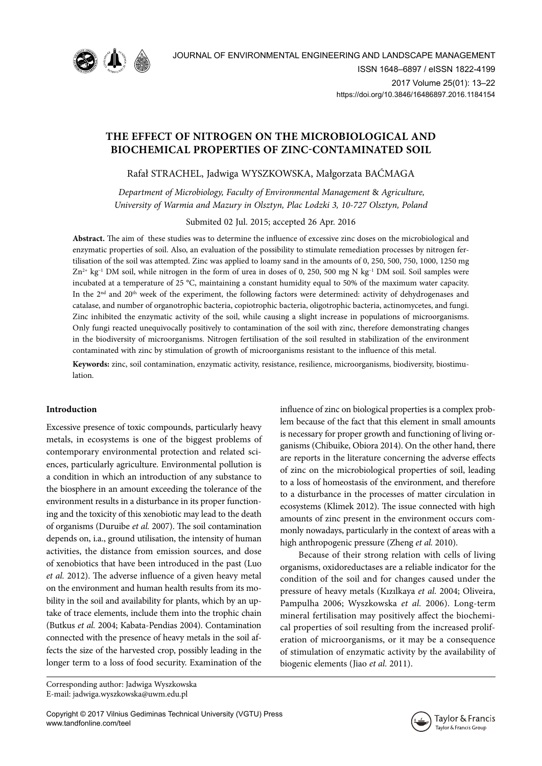

# MICROBIAL COMMUNITY CHANGES IN TNT SPIKED SOIL BIOREMEDIATION **The effect of nitrogen on the microbiological and BIOCHEMICAL PROPERTIES OF ZINC-CONTAMINATED SOIL**

 $B \left( \frac{B}{B} \right)$ Rafał STRACHEL, Jadwiga WYSZKOWSKA, Małgorzata BAĆMAGA

Hiie No˜lvak1 , Jaak Truu<sup>2</sup> , Baiba Limane<sup>3</sup> , Marika Truu<sup>4</sup> , *Department of Microbiology, Faculty of Environmental Management* & *Agriculture, Gepurnment of Microbiology, Factity of Environmental Management & Agriculture,*<br>University of Warmia and Mazury in Olsztyn, Plac Lodzki 3, 10-727 Olsztyn, Poland

 $\frac{1}{2}$ <br>Submited 0.2 Iul 2015, seconded 26 Apr 2016 Submited 02 Jul. 2015; accepted 26 Apr. 2016

Abstract. The aim of these studies was to determine the influence of excessive zinc doses on the microbiological and enzymatic properties of soil. Also, an evaluation of the possibility to stimulate remediation processes by nitrogen fertilisation of the soil was attempted. Zinc was applied to loamy sand in the amounts of 0, 250, 500, 750, 1000, 1250 mg  $Zn^{2+}$  kg<sup>-1</sup> DM soil, while nitrogen in the form of urea in doses of 0, 250, 500 mg N kg<sup>-1</sup> DM soil. Soil samples were incubated at a temperature of 25 °C, maintaining a constant humidity equal to 50% of the maximum water capacity. In the 2<sup>nd</sup> and 20<sup>th</sup> week of the experiment, the following factors were determined: activity of dehydrogenases and catalase, and number of organotrophic bacteria, copiotrophic bacteria, oligotrophic bacteria, actinomycetes, and fungi. Only fungi reacted unequivocally positively to contamination of the soil with zinc, therefore demonstrating changes in the biodiversity of microorganisms. Nitrogen fertilisation of the soil resulted in stabilization of the environment contaminated with zinc by stimulation of growth of microorganisms resistant to the influence of this metal. Zinc inhibited the enzymatic activity of the soil, while causing a slight increase in populations of microorganisms.

phytopherical contemination anywatic ectivity resistance resiliance microexpanisms highlygesity highlyges Keywords: zinc, soil contamination, enzymatic activity, resistance, resilience, microorganisms, biodiversity, biostimudecreases in T<sub>NT</sub> concentrations, including reduction of the TNT to its amino derivative during the 28-days during the 28-days during the 28-days during the 28-days during the 28-days during the 28-days during the 28-days lation.

# **Introduction**

ences, particularly agriculture. Environmental pollution is  $\sigma$  and  $\sigma$  are  $\sigma$  the microbiological properties of soil location a condition in which an introduction of any substance to  $\frac{0}{10}$  and  $\frac{0}{2}$  and  $\frac{0}{10}$ Introduction environment results in a disturbance in its proper functioning and the toxicity of this xenobiotic may lead to the death of organisms (Duruibe et al. 2007). The soil contamination depends on, i.a., ground utilisation, the intensity of human activities, the distance from emission sources, and dose former explosives, and about the munition plants, and about of xenobiotics that have been introduced in the past (Luo  $\frac{1}{2}$  and  $\frac{1}{2}$  and  $\frac{1}{2}$  are  $\frac{1}{2}$  and  $\frac{1}{2}$  are  $\frac{1}{2}$  and  $\frac{1}{2}$  and  $\frac{1}{2}$  and  $\frac{1}{2}$  and  $\frac{1}{2}$  and  $\frac{1}{2}$  and  $\frac{1}{2}$  and  $\frac{1}{2}$  and  $\frac{1}{2}$  and  $\frac{1}{2}$  and  $\frac{1}{2}$  a *et al.* 2012). The adverse influence of a given heavy metal on the environment and human health results from its mobility in the soil and availability for plants, which by an uptake of trace elements, include them into the trophic chain (Butkus et al. 2004; Kabata-Pendias 2004). Contamination connected with the presence of heavy metals in the soil affects the size of the harvested crop, possibly leading in the Excessive presence of toxic compounds, particularly heavy metals, in ecosystems is one of the biggest problems of contemporary environmental protection and related scithe biosphere in an amount exceeding the tolerance of the longer term to a loss of food security. Examination of the

Corresponding author: Jadwiga Wyszkowska<br>T E-mail: [jadwiga.wyszkowska@uwm.edu.pl](mailto:jadwiga.wyszkowska@uwm.edu.pl)

**duction** did not significantly affect the TNT degree of zinc on biological properties is a complex problem because of the surveyed and election of the fact that this element in small amounts  $\frac{1}{k}$  is necessary for proper growth and functioning of living or- $R_{\text{R}}$ ; True,  $\frac{R_{\text{R}}}{\text{R}}$  as follows:  $\frac{R_{\text{R}}}{\text{R}}$  anisms (Chibuike, Obiora 2014). On the other hand, there mporary environmental protection and related sci-<br>are reports in the literature concerning the adverse effects to a disturbance in the processes of matter circulation in ecosystems (Klimek 2012). The issue connected with high amounts of zinc present in the environment occurs commonly nowadays, particularly in the context of areas with a high anthropogenic pressure (Zheng *et al.* 2010). of zinc on the microbiological properties of soil, leading to a loss of homeostasis of the environment, and therefore

> Because of their strong relation with cells of living organisms, oxidoreductases are a reliable indicator for the condition of the soil and for changes caused under the pressure of heavy metals (Kızılkaya et al. 2004; Oliveira, Pampulha 2006; Wyszkowska et al. 2006). Long-term mineral fertilisation may positively affect the biochemical properties of soil resulting from the increased proliferation of microorganisms, or it may be a consequence scale. of stimulation of enzymatic activity by the availability of biogenic elements (Jiao *et al.* 2011).

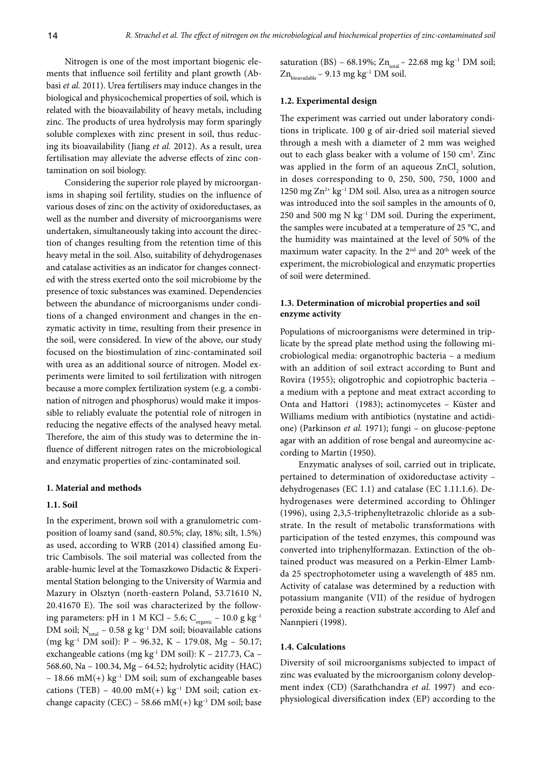Nitrogen is one of the most important biogenic elements that influence soil fertility and plant growth (Abbasi *et al.* 2011). Urea fertilisers may induce changes in the biological and physicochemical properties of soil, which is related with the bioavailability of heavy metals, including zinc. The products of urea hydrolysis may form sparingly soluble complexes with zinc present in soil, thus reducing its bioavailability (Jiang *et al.* 2012). As a result, urea fertilisation may alleviate the adverse effects of zinc contamination on soil biology.

Considering the superior role played by microorganisms in shaping soil fertility, studies on the influence of various doses of zinc on the activity of oxidoreductases, as well as the number and diversity of microorganisms were undertaken, simultaneously taking into account the direction of changes resulting from the retention time of this heavy metal in the soil. Also, suitability of dehydrogenases and catalase activities as an indicator for changes connected with the stress exerted onto the soil microbiome by the presence of toxic substances was examined. Dependencies between the abundance of microorganisms under conditions of a changed environment and changes in the enzymatic activity in time, resulting from their presence in the soil, were considered. In view of the above, our study focused on the biostimulation of zinc-contaminated soil with urea as an additional source of nitrogen. Model experiments were limited to soil fertilization with nitrogen because a more complex fertilization system (e.g. a combination of nitrogen and phosphorus) would make it impossible to reliably evaluate the potential role of nitrogen in reducing the negative effects of the analysed heavy metal. Therefore, the aim of this study was to determine the influence of different nitrogen rates on the microbiological and enzymatic properties of zinc-contaminated soil.

# **1. Material and methods**

#### **1.1. Soil**

In the experiment, brown soil with a granulometric composition of loamy sand (sand, 80.5%; clay, 18%; silt, 1.5%) as used, according to WRB (2014) classified among Eutric Cambisols. The soil material was collected from the arable-humic level at the Tomaszkowo Didactic & Experimental Station belonging to the University of Warmia and Mazury in Olsztyn (north-eastern Poland, 53.71610 N, 20.41670 E). The soil was characterized by the following parameters: pH in 1 M KCl – 5.6; C<sub>organic</sub> – 10.0 g kg<sup>-1</sup> DM soil;  $N_{total}$  – 0.58 g kg<sup>-1</sup> DM soil; bioavailable cations (mg kg–1 DM soil): P – 96.32, K – 179.08, Mg – 50.17; exchangeable cations (mg kg<sup>-1</sup> DM soil): K - 217.73, Ca -568.60, Na – 100.34, Mg – 64.52; hydrolytic acidity (HAC) – 18.66 mM(+) kg<sup>-1</sup> DM soil; sum of exchangeable bases cations (TEB) – 40.00 mM(+) kg<sup>-1</sup> DM soil; cation exchange capacity (CEC) – 58.66 mM(+) kg<sup>-1</sup> DM soil; base

saturation (BS) – 68.19%; Zn<sub>total</sub> – 22.68 mg kg<sup>-1</sup> DM soil;  $Zn_{\text{bioavailable}} - 9.13 \text{ mg kg}^{-1} \text{ DM soil.}$ 

# **1.2. Experimental design**

The experiment was carried out under laboratory conditions in triplicate. 100 g of air-dried soil material sieved through a mesh with a diameter of 2 mm was weighed out to each glass beaker with a volume of  $150 \text{ cm}^3$ . Zinc was applied in the form of an aqueous  $ZnCl<sub>2</sub>$  solution, in doses corresponding to 0, 250, 500, 750, 1000 and 1250 mg  $Zn^{2+}$  kg<sup>-1</sup> DM soil. Also, urea as a nitrogen source was introduced into the soil samples in the amounts of 0, 250 and 500 mg N kg–1 DM soil. During the experiment, the samples were incubated at a temperature of 25 °C, and the humidity was maintained at the level of 50% of the maximum water capacity. In the 2<sup>nd</sup> and 20<sup>th</sup> week of the experiment, the microbiological and enzymatic properties of soil were determined.

# **1.3. Determination of microbial properties and soil enzyme activity**

Populations of microorganisms were determined in triplicate by the spread plate method using the following microbiological media: organotrophic bacteria – a medium with an addition of soil extract according to Bunt and Rovira (1955); oligotrophic and copiotrophic bacteria – a medium with a peptone and meat extract according to Onta and Hattori (1983); actinomycetes – Küster and Williams medium with antibiotics (nystatine and actidione) (Parkinson *et al.* 1971); fungi – on glucose-peptone agar with an addition of rose bengal and aureomycine according to Martin (1950).

Enzymatic analyses of soil, carried out in triplicate, pertained to determination of oxidoreductase activity – dehydrogenases (EC 1.1) and catalase (EC 1.11.1.6). Dehydrogenases were determined according to Öhlinger (1996), using 2,3,5-triphenyltetrazolic chloride as a substrate. In the result of metabolic transformations with participation of the tested enzymes, this compound was converted into triphenylformazan. Extinction of the obtained product was measured on a Perkin-Elmer Lambda 25 spectrophotometer using a wavelength of 485 nm. Activity of catalase was determined by a reduction with potassium manganite (VII) of the residue of hydrogen peroxide being a reaction substrate according to Alef and Nannpieri (1998).

## **1.4. Calculations**

Diversity of soil microorganisms subjected to impact of zinc was evaluated by the microorganism colony development index (CD) (Sarathchandra *et al.* 1997) and ecophysiological diversification index (EP) according to the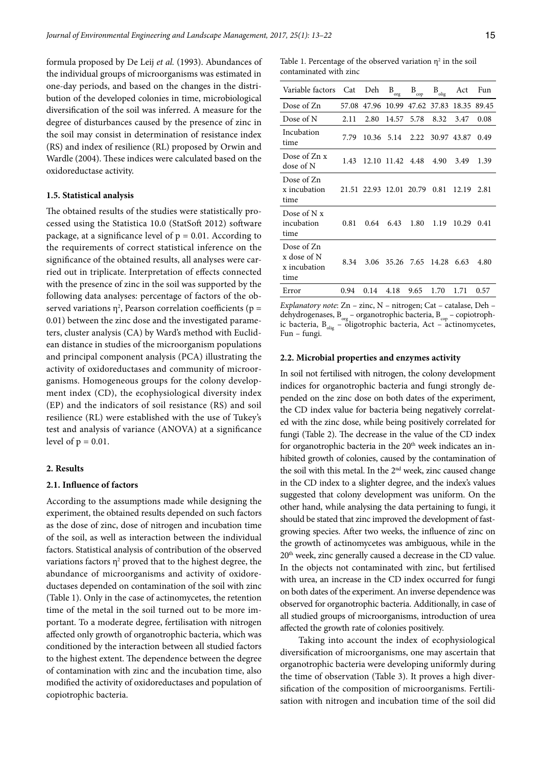formula proposed by De Leij *et al.* (1993). Abundances of the individual groups of microorganisms was estimated in one-day periods, and based on the changes in the distribution of the developed colonies in time, microbiological diversification of the soil was inferred. A measure for the degree of disturbances caused by the presence of zinc in the soil may consist in determination of resistance index (RS) and index of resilience (RL) proposed by Orwin and Wardle (2004). These indices were calculated based on the oxidoreductase activity.

#### **1.5. Statistical analysis**

The obtained results of the studies were statistically processed using the Statistica 10.0 (StatSoft 2012) software package, at a significance level of  $p = 0.01$ . According to the requirements of correct statistical inference on the significance of the obtained results, all analyses were carried out in triplicate. Interpretation of effects connected with the presence of zinc in the soil was supported by the following data analyses: percentage of factors of the observed variations  $\eta^2$ , Pearson correlation coefficients (p = 0.01) between the zinc dose and the investigated parameters, cluster analysis (CA) by Ward's method with Euclidean distance in studies of the microorganism populations and principal component analysis (PCA) illustrating the activity of oxidoreductases and community of microorganisms. Homogeneous groups for the colony development index (CD), the ecophysiological diversity index (EP) and the indicators of soil resistance (RS) and soil resilience (RL) were established with the use of Tukey's test and analysis of variance (ANOVA) at a significance level of  $p = 0.01$ .

## **2. Results**

#### **2.1. Influence of factors**

According to the assumptions made while designing the experiment, the obtained results depended on such factors as the dose of zinc, dose of nitrogen and incubation time of the soil, as well as interaction between the individual factors. Statistical analysis of contribution of the observed variations factors  $\eta^2$  proved that to the highest degree, the abundance of microorganisms and activity of oxidoreductases depended on contamination of the soil with zinc (Table 1). Only in the case of actinomycetes, the retention time of the metal in the soil turned out to be more important. To a moderate degree, fertilisation with nitrogen affected only growth of organotrophic bacteria, which was conditioned by the interaction between all studied factors to the highest extent. The dependence between the degree of contamination with zinc and the incubation time, also modified the activity of oxidoreductases and population of copiotrophic bacteria.

Table 1. Percentage of the observed variation  $\eta^2$  in the soil contaminated with zinc

| Variable factors                                  | Cat   | Deh                     | B<br>org | $\mathbf{B}_{\rm cop}$ | $\mathbf{B}_\mathrm{olig}$ | Act   | Fun   |
|---------------------------------------------------|-------|-------------------------|----------|------------------------|----------------------------|-------|-------|
| Dose of Zn                                        | 57.08 | 47.96                   | 10.99    | 47.62                  | 37.83                      | 18.35 | 89.45 |
| Dose of N                                         | 2.11  | 2.80                    | 14.57    | 5.78                   | 8.32                       | 3.47  | 0.08  |
| Incubation<br>time                                | 7.79  | 10.36                   | 5.14     | 2.22                   | 30.97 43.87                |       | 0.49  |
| Dose of Zn x<br>dose of N                         | 1.43  |                         |          | 12.10 11.42 4.48       | 4.90                       | 3.49  | 1.39  |
| Dose of Zn<br>x incubation<br>time                |       | 21.51 22.93 12.01 20.79 |          |                        | 0.81                       | 12.19 | 2.81  |
| Dose of N x<br>incubation<br>time                 | 0.81  | 0.64                    | 6.43     | 1.80                   | 1.19                       | 10.29 | 0.41  |
| Dose of Zn<br>x dose of N<br>x incubation<br>time | 8.34  | 3.06                    | 35.26    | 7.65                   | 14.28                      | 6.63  | 4.80  |
| Error                                             | 0.94  | 0.14                    | 4.18     | 9.65                   | 1.70                       | 1.71  | 0.57  |

*Explanatory note*: Zn – zinc, N – nitrogen; Cat – catalase, Deh – dehydrogenases,  $B_{org}$  – organotrophic bacteria,  $B_{cop}$  – copiotrophic bacteria,  $B_{\text{olig}}$  – oligotrophic bacteria, Act – actinomycetes, Fun – fungi.

#### **2.2. Microbial properties and enzymes activity**

In soil not fertilised with nitrogen, the colony development indices for organotrophic bacteria and fungi strongly depended on the zinc dose on both dates of the experiment, the CD index value for bacteria being negatively correlated with the zinc dose, while being positively correlated for fungi (Table 2). The decrease in the value of the CD index for organotrophic bacteria in the 20<sup>th</sup> week indicates an inhibited growth of colonies, caused by the contamination of the soil with this metal. In the 2<sup>nd</sup> week, zinc caused change in the CD index to a slighter degree, and the index's values suggested that colony development was uniform. On the other hand, while analysing the data pertaining to fungi, it should be stated that zinc improved the development of fastgrowing species. After two weeks, the influence of zinc on the growth of actinomycetes was ambiguous, while in the 20th week, zinc generally caused a decrease in the CD value. In the objects not contaminated with zinc, but fertilised with urea, an increase in the CD index occurred for fungi on both dates of the experiment. An inverse dependence was observed for organotrophic bacteria. Additionally, in case of all studied groups of microorganisms, introduction of urea affected the growth rate of colonies positively.

Taking into account the index of ecophysiological diversification of microorganisms, one may ascertain that organotrophic bacteria were developing uniformly during the time of observation (Table 3). It proves a high diversification of the composition of microorganisms. Fertilisation with nitrogen and incubation time of the soil did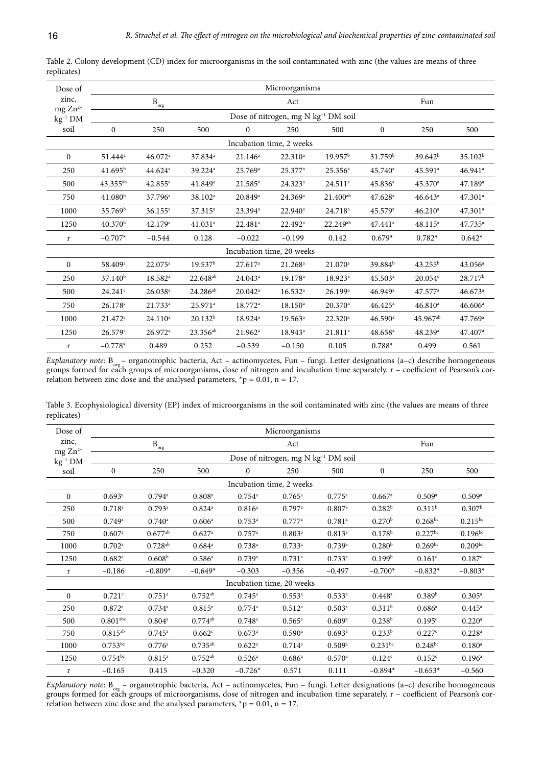|                           |                                                 |                                |                      |                       | Microorganisms        |                       |                       |                        |                       |
|---------------------------|-------------------------------------------------|--------------------------------|----------------------|-----------------------|-----------------------|-----------------------|-----------------------|------------------------|-----------------------|
| Dose of                   |                                                 |                                |                      |                       |                       |                       |                       |                        |                       |
| zinc,<br>mg $\rm Zn^{2+}$ |                                                 | $B_{\underline{\mathrm{org}}}$ |                      | Act                   |                       |                       | Fun                   |                        |                       |
| $kg^{-1}$ DM              | Dose of nitrogen, mg N kg <sup>-1</sup> DM soil |                                |                      |                       |                       |                       |                       |                        |                       |
| soil                      | $\bf{0}$                                        | 250                            | 500                  | $\mathbf{0}$          | 250                   | 500                   | $\mathbf{0}$          | 250                    | 500                   |
| Incubation time, 2 weeks  |                                                 |                                |                      |                       |                       |                       |                       |                        |                       |
| $\mathbf{0}$              | 51.444 <sup>a</sup>                             | 46.072 <sup>a</sup>            | 37.834 <sup>a</sup>  | $21.146^a$            | $22.310^a$            | $19.957^{\rm b}$      | $31.759^{\rm b}$      | 39.642 <sup>b</sup>    | 35.102 <sup>b</sup>   |
| 250                       | $41.695^{\rm b}$                                | 44.624 <sup>a</sup>            | 39.224 <sup>a</sup>  | $25.769$ <sup>a</sup> | 25.377a               | $25.356^a$            | 45.740 <sup>a</sup>   | 45.591 <sup>a</sup>    | 46.941 <sup>a</sup>   |
| 500                       | 43.355 <sup>ab</sup>                            | $42.855^a$                     | 41.849 <sup>a</sup>  | $21.585^a$            | $24.323^a$            | $24.511^a$            | $45.836^{\circ}$      | 45.370 <sup>a</sup>    | 47.189 <sup>a</sup>   |
| 750                       | 41.080 <sup>b</sup>                             | 37.796 <sup>a</sup>            | 38.102 <sup>a</sup>  | $20.849$ <sup>a</sup> | $24.369$ <sup>a</sup> | $21.400^{ab}$         | 47.628 <sup>a</sup>   | $46.643$ <sup>a</sup>  | 47.301 <sup>a</sup>   |
| 1000                      | 35.769 <sup>b</sup>                             | $36.155^a$                     | 37.315 <sup>a</sup>  | 23.394 <sup>a</sup>   | 22.940 <sup>a</sup>   | 24.718 <sup>a</sup>   | $45.579$ <sup>a</sup> | 46.210 <sup>a</sup>    | $47.301$ <sup>a</sup> |
| 1250                      | 40.370 <sup>b</sup>                             | 42.179 <sup>a</sup>            | 41.031 <sup>a</sup>  | 22.481 <sup>a</sup>   | $22.492^a$            | 22.249 <sup>ab</sup>  | 47.441 <sup>a</sup>   | $48.115^{a}$           | $47.735^a$            |
| r                         | $-0.707*$                                       | $-0.544$                       | 0.128                | $-0.022$              | $-0.199$              | 0.142                 | $0.679*$              | $0.782*$               | $0.642*$              |
| Incubation time, 20 weeks |                                                 |                                |                      |                       |                       |                       |                       |                        |                       |
| $\mathbf{0}$              | 58.409 <sup>a</sup>                             | $22.075^a$                     | 19.537 <sup>b</sup>  | $27.617$ <sup>a</sup> | $21.268$ <sup>a</sup> | $21.070$ <sup>a</sup> | 39.884 <sup>b</sup>   | $43.255^{\rm b}$       | $43.056^a$            |
| 250                       | 37.140 <sup>b</sup>                             | $18.582^a$                     | 22.648 <sup>ab</sup> | $24.043^a$            | 19.178 <sup>a</sup>   | $18.923^a$            | $45.503^a$            | 20.054c                | 28.717 <sup>b</sup>   |
| 500                       | $24.241^{\circ}$                                | $26.038$ <sup>a</sup>          | $24.286^{ab}$        | $20.042^a$            | $16.532$ <sup>a</sup> | 26.199a               | $46.949$ <sup>a</sup> | 47.577 <sup>a</sup>    | $46.673$ <sup>a</sup> |
| 750                       | 26.178c                                         | $21.733^a$                     | 25.971 <sup>a</sup>  | $18.772^a$            | $18.150^{\circ}$      | $20.370^a$            | $46.425^{\mathrm{a}}$ | 46.810 <sup>a</sup>    | $46.606^{\circ}$      |
| 1000                      | $21.472^{\circ}$                                | $24.110^a$                     | 20.132 <sup>b</sup>  | $18.924$ <sup>a</sup> | $19.563^{\circ}$      | $22.320^a$            | $46.590^{\circ}$      | $45.967$ <sup>ab</sup> | $47.769$ <sup>a</sup> |
| 1250                      | 26.579c                                         | 26.972 <sup>a</sup>            | 23.356 <sup>ab</sup> | $21.962$ <sup>a</sup> | $18.943^a$            | 21.811 <sup>a</sup>   | $48.658$ <sup>a</sup> | $48.239$ <sup>a</sup>  | 47.407 <sup>a</sup>   |
| r                         | $-0.778*$                                       | 0.489                          | 0.252                | $-0.539$              | $-0.150$              | 0.105                 | $0.788*$              | 0.499                  | 0.561                 |

Table 2. Colony development (CD) index for microorganisms in the soil contaminated with zinc (the values are means of three replicates)

*Explanatory note:* B<sub>org</sub> – organotrophic bacteria, Act – actinomycetes, Fun – fungi. Letter designations (a–c) describe homogeneous groups formed for each groups of microorganisms, dose of nitrogen and incubation time separately. r – coefficient of Pearson's correlation between zinc dose and the analysed parameters,  $\text{*}p = 0.01$ , n = 17.

Table 3. Ecophysiological diversity (EP) index of microorganisms in the soil contaminated with zinc (the values are means of three replicates)

| Dose of                      |                                                 |                       |                      |                      | Microorganisms       |                      |                      |                    |                      |
|------------------------------|-------------------------------------------------|-----------------------|----------------------|----------------------|----------------------|----------------------|----------------------|--------------------|----------------------|
| zinc,                        | $B_{\underline{\mathrm{org}}}$<br>Act           |                       |                      |                      |                      |                      |                      | Fun                |                      |
| mg $Zn^{2+}$<br>$kg^{-1}$ DM | Dose of nitrogen, mg N kg <sup>-1</sup> DM soil |                       |                      |                      |                      |                      |                      |                    |                      |
| soil                         | $\bf{0}$                                        | 250                   | 500                  | $\mathbf{0}$         | 250                  | 500                  | $\bf{0}$             | 250                | 500                  |
| Incubation time, 2 weeks     |                                                 |                       |                      |                      |                      |                      |                      |                    |                      |
| $\mathbf{0}$                 | $0.693$ <sup>a</sup>                            | $0.794$ <sup>a</sup>  | $0.808$ <sup>a</sup> | $0.754^{\circ}$      | $0.765^{\rm a}$      | $0.775$ <sup>a</sup> | $0.667$ <sup>a</sup> | 0.509a             | 0.509a               |
| 250                          | $0.718^{a}$                                     | $0.793$ <sup>a</sup>  | $0.824$ <sup>a</sup> | $0.816^a$            | 0.797a               | $0.807$ <sup>a</sup> | 0.282 <sup>b</sup>   | 0.311 <sup>b</sup> | 0.307 <sup>b</sup>   |
| 500                          | 0.749a                                          | $0.740$ <sup>a</sup>  | 0.606 <sup>a</sup>   | $0.753^a$            | 0.777a               | $0.781$ <sup>a</sup> | 0.270 <sup>b</sup>   | $0.268^{bc}$       | $0.215^{bc}$         |
| 750                          | $0.607$ <sup>a</sup>                            | $0.677$ <sup>ab</sup> | $0.627$ <sup>a</sup> | $0.757$ <sup>a</sup> | $0.803$ <sup>a</sup> | $0.813^a$            | 0.178 <sup>b</sup>   | $0.227$ bc         | $0.196^{bc}$         |
| 1000                         | $0.702$ <sup>a</sup>                            | $0.728^{ab}$          | $0.684^{\circ}$      | $0.738^{a}$          | $0.733^{a}$          | 0.739a               | 0.280 <sup>b</sup>   | $0.269^{bc}$       | $0.209^{bc}$         |
| 1250                         | $0.682$ <sup>a</sup>                            | 0.608 <sup>b</sup>    | $0.586^{\circ}$      | 0.739a               | $0.731$ <sup>a</sup> | $0.733^a$            | 0.199 <sup>b</sup>   | 0.161 <sup>c</sup> | 0.187c               |
| r                            | $-0.186$                                        | $-0.809*$             | $-0.649*$            | $-0.303$             | $-0.356$             | $-0.497$             | $-0.700*$            | $-0.832*$          | $-0.803*$            |
|                              | Incubation time, 20 weeks                       |                       |                      |                      |                      |                      |                      |                    |                      |
| $\mathbf{0}$                 | 0.721c                                          | $0.751$ <sup>a</sup>  | $0.752^{ab}$         | $0.745^{\circ}$      | $0.553$ <sup>a</sup> | $0.533^{a}$          | $0.448^{\rm a}$      | 0.389 <sup>b</sup> | $0.305^{a}$          |
| 250                          | $0.872$ <sup>a</sup>                            | $0.734$ <sup>a</sup>  | $0.815^{\circ}$      | $0.774$ <sup>a</sup> | $0.512^a$            | $0.503$ <sup>a</sup> | 0.311 <sup>b</sup>   | $0.686^{\circ}$    | $0.445^{\mathrm{a}}$ |
| 500                          | $0.801^{\rm abc}$                               | $0.804$ <sup>a</sup>  | $0.774^{ab}$         | $0.748$ <sup>a</sup> | $0.565^{\rm a}$      | 0.609a               | 0.238 <sup>b</sup>   | 0.195c             | $0.220$ <sup>a</sup> |
| 750                          | $0.815^{ab}$                                    | $0.745^a$             | 0.662c               | 0.673a               | $0.590$ <sup>a</sup> | $0.693$ <sup>a</sup> | 0.233 <sup>b</sup>   | 0.227c             | $0.228$ <sup>a</sup> |
| 1000                         | $0.753^{bc}$                                    | $0.776$ <sup>a</sup>  | $0.735^{ab}$         | $0.622$ <sup>a</sup> | $0.714^{a}$          | 0.509a               | $0.231^{bc}$         | $0.248^{bc}$       | $0.180$ <sup>a</sup> |
| 1250                         | $0.754^{bc}$                                    | $0.815^{a}$           | $0.752^{ab}$         | $0.526^{\rm a}$      | $0.686^{\rm a}$      | $0.570$ <sup>a</sup> | 0.124c               | 0.152c             | $0.196^{\rm a}$      |
| r                            | $-0.165$                                        | 0.415                 | $-0.320$             | $-0.726*$            | 0.571                | 0.111                | $-0.894*$            | $-0.653*$          | $-0.560$             |

*Explanatory note*: B<sub>org</sub> – organotrophic bacteria, Act – actinomycetes, Fun – fungi. Letter designations (a–c) describe homogeneous groups formed for each groups of microorganisms, dose of nitrogen and incubation time separately. r – coefficient of Pearson's correlation between zinc dose and the analysed parameters,  $\text{*}p = 0.01$ , n = 17.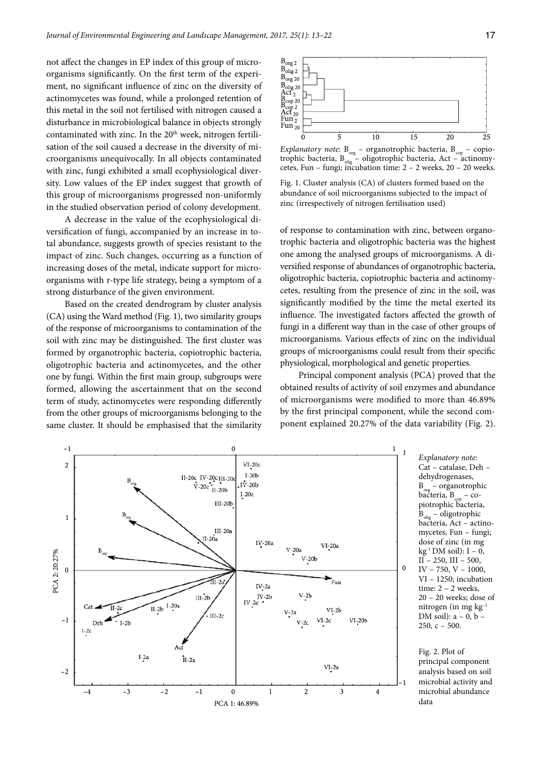not affect the changes in EP index of this group of microorganisms significantly. On the first term of the experiment, no significant influence of zinc on the diversity of actinomycetes was found, while a prolonged retention of this metal in the soil not fertilised with nitrogen caused a disturbance in microbiological balance in objects strongly contaminated with zinc. In the 20<sup>th</sup> week, nitrogen fertilisation of the soil caused a decrease in the diversity of microorganisms unequivocally. In all objects contaminated with zinc, fungi exhibited a small ecophysiological diversity. Low values of the EP index suggest that growth of this group of microorganisms progressed non-uniformly in the studied observation period of colony development.

A decrease in the value of the ecophysiological diversification of fungi, accompanied by an increase in total abundance, suggests growth of species resistant to the impact of zinc. Such changes, occurring as a function of increasing doses of the metal, indicate support for microorganisms with r-type life strategy, being a symptom of a strong disturbance of the given environment.

Based on the created dendrogram by cluster analysis (CA) using the Ward method (Fig. 1), two similarity groups of the response of microorganisms to contamination of the soil with zinc may be distinguished. The first cluster was formed by organotrophic bacteria, copiotrophic bacteria, oligotrophic bacteria and actinomycetes, and the other one by fungi. Within the first main group, subgroups were formed, allowing the ascertainment that on the second term of study, actinomycetes were responding differently from the other groups of microorganisms belonging to the same cluster. It should be emphasised that the similarity



*Explanatory note*:  $B_{org}$  – organotrophic bacteria,  $B_{cop}$  – copiotrophic bacteria,  $B_{\text{olig}}$  – oligotrophic bacteria, Act – actinomycetes, Fun – fungi; incubation time:  $2 - 2$  weeks,  $20 - 20$  weeks.

Fig. 1. Cluster analysis (CA) of clusters formed based on the abundance of soil microorganisms subjected to the impact of zinc (irrespectively of nitrogen fertilisation used)

of response to contamination with zinc, between organotrophic bacteria and oligotrophic bacteria was the highest one among the analysed groups of microorganisms. A diversified response of abundances of organotrophic bacteria, oligotrophic bacteria, copiotrophic bacteria and actinomycetes, resulting from the presence of zinc in the soil, was significantly modified by the time the metal exerted its influence. The investigated factors affected the growth of fungi in a different way than in the case of other groups of microorganisms. Various effects of zinc on the individual groups of microorganisms could result from their specific physiological, morphological and genetic properties.

Principal component analysis (PCA) proved that the obtained results of activity of soil enzymes and abundance of microorganisms were modified to more than 46.89% by the first principal component, while the second component explained 20.27% of the data variability (Fig. 2).



Cat – catalase, Deh – dehydrogenases,  $B_{org}$  – organotrophic bacteria,  $B_{\text{cop}} - \text{co}$ piotrophic bacteria,  $B_{\text{olig}}$  – oligotrophic bacteria, Act – actinomycetes, Fun – fungi; dose of zinc (in mg  $kg^{-1}$  DM soil):  $I - 0$ , II – 250, III – 500, IV – 750, V – 1000, VI – 1250; incubation time: 2 – 2 weeks, 20 – 20 weeks; dose of nitrogen (in mg kg–1 DM soil): a – 0, b –  $250, c - 500.$ 

*Explanatory note*:

Fig. 2. Plot of principal component analysis based on soil microbial activity and microbial abundance data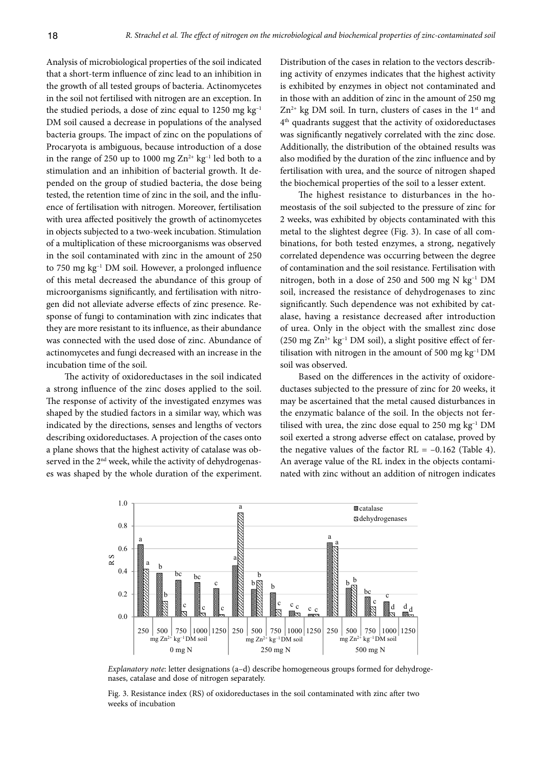Analysis of microbiological properties of the soil indicated that a short-term influence of zinc lead to an inhibition in the growth of all tested groups of bacteria. Actinomycetes in the soil not fertilised with nitrogen are an exception. In the studied periods, a dose of zinc equal to 1250 mg  $kg^{-1}$ DM soil caused a decrease in populations of the analysed bacteria groups. The impact of zinc on the populations of Procaryota is ambiguous, because introduction of a dose in the range of 250 up to 1000 mg  $Zn^{2+}$  kg<sup>-1</sup> led both to a stimulation and an inhibition of bacterial growth. It depended on the group of studied bacteria, the dose being tested, the retention time of zinc in the soil, and the influence of fertilisation with nitrogen. Moreover, fertilisation with urea affected positively the growth of actinomycetes in objects subjected to a two-week incubation. Stimulation of a multiplication of these microorganisms was observed in the soil contaminated with zinc in the amount of 250 to 750 mg kg–1 DM soil. However, a prolonged influence of this metal decreased the abundance of this group of microorganisms significantly, and fertilisation with nitrogen did not alleviate adverse effects of zinc presence. Response of fungi to contamination with zinc indicates that they are more resistant to its influence, as their abundance was connected with the used dose of zinc. Abundance of actinomycetes and fungi decreased with an increase in the incubation time of the soil.

The activity of oxidoreductases in the soil indicated a strong influence of the zinc doses applied to the soil. The response of activity of the investigated enzymes was shaped by the studied factors in a similar way, which was indicated by the directions, senses and lengths of vectors describing oxidoreductases. A projection of the cases onto a plane shows that the highest activity of catalase was observed in the 2<sup>nd</sup> week, while the activity of dehydrogenases was shaped by the whole duration of the experiment.

Distribution of the cases in relation to the vectors describing activity of enzymes indicates that the highest activity is exhibited by enzymes in object not contaminated and in those with an addition of zinc in the amount of 250 mg  $Zn^{2+}$  kg DM soil. In turn, clusters of cases in the 1<sup>st</sup> and 4th quadrants suggest that the activity of oxidoreductases was significantly negatively correlated with the zinc dose. Additionally, the distribution of the obtained results was also modified by the duration of the zinc influence and by fertilisation with urea, and the source of nitrogen shaped the biochemical properties of the soil to a lesser extent.

The highest resistance to disturbances in the homeostasis of the soil subjected to the pressure of zinc for 2 weeks, was exhibited by objects contaminated with this metal to the slightest degree (Fig. 3). In case of all combinations, for both tested enzymes, a strong, negatively correlated dependence was occurring between the degree of contamination and the soil resistance. Fertilisation with nitrogen, both in a dose of 250 and 500 mg N kg–1 DM soil, increased the resistance of dehydrogenases to zinc significantly. Such dependence was not exhibited by catalase, having a resistance decreased after introduction of urea. Only in the object with the smallest zinc dose (250 mg  $Zn^{2+}$  kg<sup>-1</sup> DM soil), a slight positive effect of fertilisation with nitrogen in the amount of 500 mg  $kg^{-1}$  DM soil was observed.

Based on the differences in the activity of oxidoreductases subjected to the pressure of zinc for 20 weeks, it may be ascertained that the metal caused disturbances in the enzymatic balance of the soil. In the objects not fertilised with urea, the zinc dose equal to  $250 \text{ mg kg}^{-1} \text{ DM}$ soil exerted a strong adverse effect on catalase, proved by the negative values of the factor  $RL = -0.162$  (Table 4). An average value of the RL index in the objects contaminated with zinc without an addition of nitrogen indicates



*Explanatory note*: letter designations (a–d) describe homogeneous groups formed for dehydrogenases, catalase and dose of nitrogen separately.

Fig. 3. Resistance index (RS) of oxidoreductases in the soil contaminated with zinc after two weeks of incubation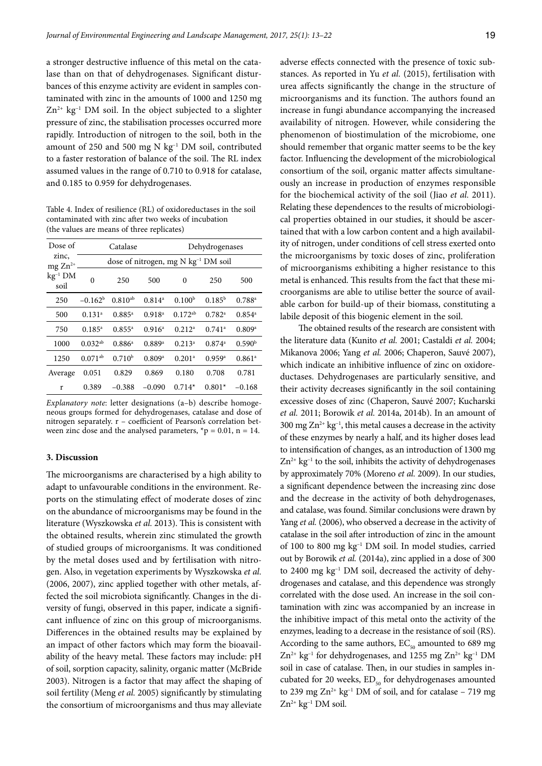a stronger destructive influence of this metal on the catalase than on that of dehydrogenases. Significant disturbances of this enzyme activity are evident in samples contaminated with zinc in the amounts of 1000 and 1250 mg  $Zn^{2+}$  kg<sup>-1</sup> DM soil. In the object subjected to a slighter pressure of zinc, the stabilisation processes occurred more rapidly. Introduction of nitrogen to the soil, both in the amount of 250 and 500 mg N  $kg^{-1}$  DM soil, contributed to a faster restoration of balance of the soil. The RL index assumed values in the range of 0.710 to 0.918 for catalase, and 0.185 to 0.959 for dehydrogenases.

Table 4. Index of resilience (RL) of oxidoreductases in the soil contaminated with zinc after two weeks of incubation (the values are means of three replicates)

| Dose of               |                                          | Catalase           |                    | Dehydrogenases       |                      |                      |  |  |  |  |
|-----------------------|------------------------------------------|--------------------|--------------------|----------------------|----------------------|----------------------|--|--|--|--|
| zinc,<br>$mg Zn^{2+}$ | dose of nitrogen, mg $N kg^{-1} DM$ soil |                    |                    |                      |                      |                      |  |  |  |  |
| $kg^{-1}$ DM<br>soil  | $\theta$                                 | 250                | 500                | $\Omega$             | 250                  | 500                  |  |  |  |  |
| 250                   | $-0.162b$                                | $0.810^{ab}$       | $0.814^a$          | 0.100 <sup>b</sup>   | $0.185^{b}$          | $0.788$ <sup>a</sup> |  |  |  |  |
| 500                   | $0.131$ <sup>a</sup>                     | $0.885^{\rm a}$    | 0.918 <sup>a</sup> | $0.172^{ab}$         | $0.782$ <sup>a</sup> | $0.854$ <sup>a</sup> |  |  |  |  |
| 750                   | $0.185^{\circ}$                          | $0.855^{\rm a}$    | $0.916^{\rm a}$    | $0.212^a$            | $0.741$ <sup>a</sup> | $0.809$ <sup>a</sup> |  |  |  |  |
| 1000                  | $0.032^{ab}$                             | $0.886^a$          | 0.889a             | $0.213^a$            | $0.874$ <sup>a</sup> | 0.590 <sup>b</sup>   |  |  |  |  |
| 1250                  | $0.071^{ab}$                             | 0.710 <sup>b</sup> | 0.809a             | $0.201$ <sup>a</sup> | $0.959$ <sup>a</sup> | 0.861 <sup>a</sup>   |  |  |  |  |
| Average               | 0.051                                    | 0.829              | 0.869              | 0.180                | 0.708                | 0.781                |  |  |  |  |
| r                     | 0.389                                    | $-0.388$           | $-0.090$           | $0.714*$             | $0.801*$             | $-0.168$             |  |  |  |  |

*Explanatory note*: letter designations (a–b) describe homogeneous groups formed for dehydrogenases, catalase and dose of nitrogen separately. r – coefficient of Pearson's correlation between zinc dose and the analysed parameters,  ${}^{\ast}p = 0.01$ , n = 14.

## **3. Discussion**

The microorganisms are characterised by a high ability to adapt to unfavourable conditions in the environment. Reports on the stimulating effect of moderate doses of zinc on the abundance of microorganisms may be found in the literature (Wyszkowska *et al.* 2013). This is consistent with the obtained results, wherein zinc stimulated the growth of studied groups of microorganisms. It was conditioned by the metal doses used and by fertilisation with nitrogen. Also, in vegetation experiments by Wyszkowska *et al.*  (2006, 2007), zinc applied together with other metals, affected the soil microbiota significantly. Changes in the diversity of fungi, observed in this paper, indicate a significant influence of zinc on this group of microorganisms. Differences in the obtained results may be explained by an impact of other factors which may form the bioavailability of the heavy metal. These factors may include: pH of soil, sorption capacity, salinity, organic matter (McBride 2003). Nitrogen is a factor that may affect the shaping of soil fertility (Meng *et al.* 2005) significantly by stimulating the consortium of microorganisms and thus may alleviate

adverse effects connected with the presence of toxic substances. As reported in Yu *et al.* (2015), fertilisation with urea affects significantly the change in the structure of microorganisms and its function. The authors found an increase in fungi abundance accompanying the increased availability of nitrogen. However, while considering the phenomenon of biostimulation of the microbiome, one should remember that organic matter seems to be the key factor. Influencing the development of the microbiological consortium of the soil, organic matter affects simultaneously an increase in production of enzymes responsible for the biochemical activity of the soil (Jiao *et al.* 2011). Relating these dependences to the results of microbiological properties obtained in our studies, it should be ascertained that with a low carbon content and a high availability of nitrogen, under conditions of cell stress exerted onto the microorganisms by toxic doses of zinc, proliferation of microorganisms exhibiting a higher resistance to this metal is enhanced. This results from the fact that these microorganisms are able to utilise better the source of available carbon for build-up of their biomass, constituting a labile deposit of this biogenic element in the soil.

The obtained results of the research are consistent with the literature data (Kunito *et al.* 2001; Castaldi *et al.* 2004; Mikanova 2006; Yang *et al.* 2006; Chaperon, Sauvé 2007), which indicate an inhibitive influence of zinc on oxidoreductases. Dehydrogenases are particularly sensitive, and their activity decreases significantly in the soil containing excessive doses of zinc (Chaperon, Sauvé 2007; Kucharski *et al.* 2011; Borowik *et al.* 2014a, 2014b). In an amount of 300 mg  $Zn^{2+}$  kg<sup>-1</sup>, this metal causes a decrease in the activity of these enzymes by nearly a half, and its higher doses lead to intensification of changes, as an introduction of 1300 mg  $Zn^{2+}$  kg<sup>-1</sup> to the soil, inhibits the activity of dehydrogenases by approximately 70% (Moreno *et al.* 2009). In our studies, a significant dependence between the increasing zinc dose and the decrease in the activity of both dehydrogenases, and catalase, was found. Similar conclusions were drawn by Yang et al. (2006), who observed a decrease in the activity of catalase in the soil after introduction of zinc in the amount of 100 to 800 mg kg–1 DM soil. In model studies, carried out by Borowik *et al.* (2014a), zinc applied in a dose of 300 to 2400 mg kg<sup>-1</sup> DM soil, decreased the activity of dehydrogenases and catalase, and this dependence was strongly correlated with the dose used. An increase in the soil contamination with zinc was accompanied by an increase in the inhibitive impact of this metal onto the activity of the enzymes, leading to a decrease in the resistance of soil (RS). According to the same authors,  $EC_{50}$  amounted to 689 mg  $Zn^{2+}$  kg<sup>-1</sup> for dehydrogenases, and 1255 mg  $Zn^{2+}$  kg<sup>-1</sup> DM soil in case of catalase. Then, in our studies in samples incubated for 20 weeks,  $ED_{50}$  for dehydrogenases amounted to 239 mg  $Zn^{2+}$  kg<sup>-1</sup> DM of soil, and for catalase – 719 mg  $Zn^{2+}$  kg<sup>-1</sup> DM soil.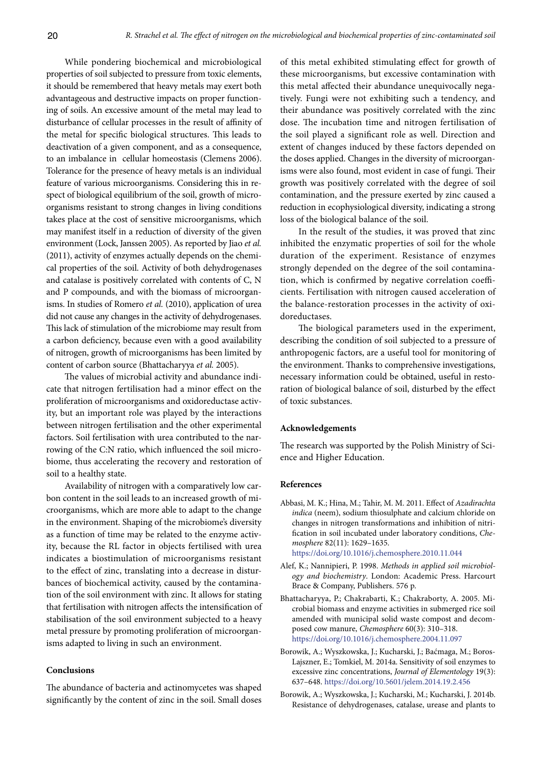While pondering biochemical and microbiological properties of soil subjected to pressure from toxic elements, it should be remembered that heavy metals may exert both advantageous and destructive impacts on proper functioning of soils. An excessive amount of the metal may lead to disturbance of cellular processes in the result of affinity of the metal for specific biological structures. This leads to deactivation of a given component, and as a consequence, to an imbalance in cellular homeostasis (Clemens 2006). Tolerance for the presence of heavy metals is an individual feature of various microorganisms. Considering this in respect of biological equilibrium of the soil, growth of microorganisms resistant to strong changes in living conditions takes place at the cost of sensitive microorganisms, which may manifest itself in a reduction of diversity of the given environment (Lock, Janssen 2005). As reported by Jiao *et al.*  (2011), activity of enzymes actually depends on the chemical properties of the soil. Activity of both dehydrogenases and catalase is positively correlated with contents of C, N and P compounds, and with the biomass of microorganisms. In studies of Romero *et al.* (2010), application of urea did not cause any changes in the activity of dehydrogenases. This lack of stimulation of the microbiome may result from a carbon deficiency, because even with a good availability of nitrogen, growth of microorganisms has been limited by content of carbon source (Bhattacharyya *et al.* 2005).

The values of microbial activity and abundance indicate that nitrogen fertilisation had a minor effect on the proliferation of microorganisms and oxidoreductase activity, but an important role was played by the interactions between nitrogen fertilisation and the other experimental factors. Soil fertilisation with urea contributed to the narrowing of the C:N ratio, which influenced the soil microbiome, thus accelerating the recovery and restoration of soil to a healthy state.

Availability of nitrogen with a comparatively low carbon content in the soil leads to an increased growth of microorganisms, which are more able to adapt to the change in the environment. Shaping of the microbiome's diversity as a function of time may be related to the enzyme activity, because the RL factor in objects fertilised with urea indicates a biostimulation of microorganisms resistant to the effect of zinc, translating into a decrease in disturbances of biochemical activity, caused by the contamination of the soil environment with zinc. It allows for stating that fertilisation with nitrogen affects the intensification of stabilisation of the soil environment subjected to a heavy metal pressure by promoting proliferation of microorganisms adapted to living in such an environment.

# **Conclusions**

The abundance of bacteria and actinomycetes was shaped significantly by the content of zinc in the soil. Small doses of this metal exhibited stimulating effect for growth of these microorganisms, but excessive contamination with this metal affected their abundance unequivocally negatively. Fungi were not exhibiting such a tendency, and their abundance was positively correlated with the zinc dose. The incubation time and nitrogen fertilisation of the soil played a significant role as well. Direction and extent of changes induced by these factors depended on the doses applied. Changes in the diversity of microorganisms were also found, most evident in case of fungi. Their growth was positively correlated with the degree of soil contamination, and the pressure exerted by zinc caused a reduction in ecophysiological diversity, indicating a strong loss of the biological balance of the soil.

In the result of the studies, it was proved that zinc inhibited the enzymatic properties of soil for the whole duration of the experiment. Resistance of enzymes strongly depended on the degree of the soil contamination, which is confirmed by negative correlation coefficients. Fertilisation with nitrogen caused acceleration of the balance-restoration processes in the activity of oxidoreductases.

The biological parameters used in the experiment, describing the condition of soil subjected to a pressure of anthropogenic factors, are a useful tool for monitoring of the environment. Thanks to comprehensive investigations, necessary information could be obtained, useful in restoration of biological balance of soil, disturbed by the effect of toxic substances.

## **Acknowledgements**

The research was supported by the Polish Ministry of Science and Higher Education.

#### **References**

- Abbasi, M. K.; Hina, M.; Tahir, M. M. 2011. Effect of *Azadirachta indica* (neem), sodium thiosulphate and calcium chloride on changes in nitrogen transformations and inhibition of nitrification in soil incubated under laboratory conditions, *Chemosphere* 82(11): 1629–1635. <https://doi.org/10.1016/j.chemosphere.2010.11.044>
- Alef, K.; Nannipieri, P. 1998. *Methods in applied soil microbiology and biochemistry*. London: Academic Press. Harcourt Brace & Company, Publishers. 576 p.
- Bhattacharyya, P.; Chakrabarti, K.; Chakraborty, A. 2005. Microbial biomass and enzyme activities in submerged rice soil amended with municipal solid waste compost and decomposed cow manure, *Chemosphere* 60(3): 310–318. <https://doi.org/10.1016/j.chemosphere.2004.11.097>
- Borowik, A.; Wyszkowska, J.; Kucharski, J.; Baćmaga, M.; Boros-Lajszner, E.; Tomkiel, M. 2014a. Sensitivity of soil enzymes to excessive zinc concentrations, *Journal of Elementology* 19(3): 637–648. <https://doi.org/10.5601/jelem.2014.19.2.456>
- Borowik, A.; Wyszkowska, J.; Kucharski, M.; Kucharski, J. 2014b. Resistance of dehydrogenases, catalase, urease and plants to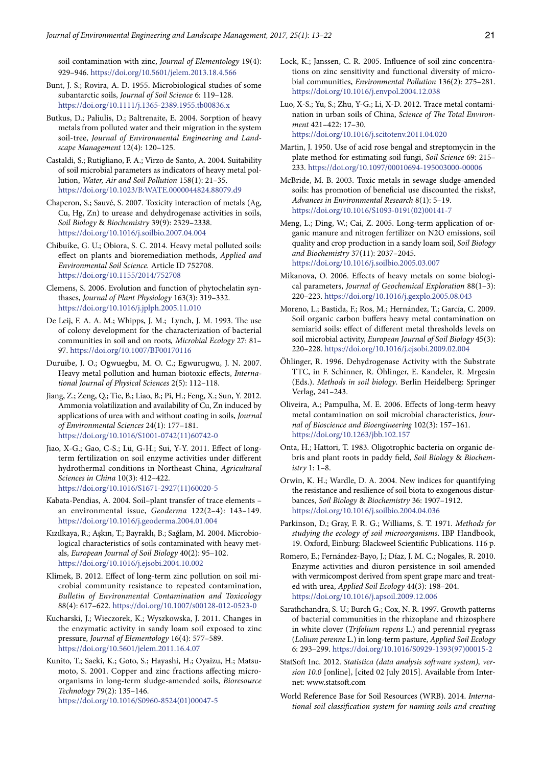soil contamination with zinc, *Journal of Elementology* 19(4): 929–946.<https://doi.org/10.5601/jelem.2013.18.4.566>

Bunt, J. S.; Rovira, A. D. 1955. Microbiological studies of some subantarctic soils, *Journal of Soil Science* 6: 119–128. <https://doi.org/10.1111/j.1365-2389.1955.tb00836.x>

Butkus, D.; Paliulis, D.; Baltrenaite, E. 2004. Sorption of heavy metals from polluted water and their migration in the system soil‐tree, *Journal of Environmental Engineering and Landscape Management* 12(4): 120–125.

Castaldi, S.; Rutigliano, F. A.; Virzo de Santo, A. 2004. Suitability of soil microbial parameters as indicators of heavy metal pollution, *Water, Air and Soil Pollution* 158(1): 21–35. <https://doi.org/10.1023/B:WATE.0000044824.88079.d9>

Chaperon, S.; Sauvé, S. 2007. Toxicity interaction of metals (Ag, Cu, Hg, Zn) to urease and dehydrogenase activities in soils, *Soil Biology* & *Biochemistry* 39(9): 2329–2338. <https://doi.org/10.1016/j.soilbio.2007.04.004>

Chibuike, G. U.; Obiora, S. C. 2014. Heavy metal polluted soils: effect on plants and bioremediation methods, *Applied and Environmental Soil Science.* Article ID 752708. <https://doi.org/10.1155/2014/752708>

Clemens, S. 2006. Evolution and function of phytochelatin synthases, *Journal of Plant Physiology* 163(3): 319–332. <https://doi.org/10.1016/j.jplph.2005.11.010>

- De Leij, F. A. A. M.; Whipps, J. M.; Lynch, J. M. 1993. The use of colony development for the characterization of bacterial communities in soil and on roots*, Microbial Ecology* 27: 81– 97.<https://doi.org/10.1007/BF00170116>
- Duruibe, J. O.; Ogwuegbu, M. O. C.; Egwurugwu, J. N. 2007. Heavy metal pollution and human biotoxic effects, *International Journal of Physical Sciences* 2(5): 112–118.
- Jiang, Z.; Zeng, Q.; Tie, B.; Liao, B.; Pi, H.; Feng, X.; Sun, Y. 2012. Ammonia volatilization and availability of Cu, Zn induced by applications of urea with and without coating in soils, *Journal of Environmental Sciences* 24(1): 177–181. [https://doi.org/10.1016/S1001-0742\(11\)60742-0](https://doi.org/10.1016/S1001-0742(11)60742-0)
- Jiao, X-G.; Gao, C-S.; Lü, G-H.; Sui, Y-Y. 2011. Effect of longterm fertilization on soil enzyme activities under different hydrothermal conditions in Northeast China, *Agricultural Sciences in China* 10(3): 412–422. [https://doi.org/10.1016/S1671-2927\(11\)60020-5](https://doi.org/10.1016/S1671-2927(11)60020-5)
- Kabata-Pendias, A. 2004. Soil–plant transfer of trace elements an environmental issue, *Geoderma* 122(2–4): 143–149. <https://doi.org/10.1016/j.geoderma.2004.01.004>

Kızılkaya, R.; Aşkın, T.; Bayraklı, B.; Sağlam, M. 2004. Microbiological characteristics of soils contaminated with heavy metals, *European Journal of Soil Biology* 40(2): 95–102. <https://doi.org/10.1016/j.ejsobi.2004.10.002>

Klimek, B. 2012. Effect of long-term zinc pollution on soil microbial community resistance to repeated contamination, *Bulletin of Environmental Contamination and Toxicology* 88(4): 617–622. <https://doi.org/10.1007/s00128-012-0523-0>

Kucharski, J.; Wieczorek, K.; Wyszkowska, J. 2011. Changes in the enzymatic activity in sandy loam soil exposed to zinc pressure, *Journal of Elementology* 16(4): 577–589. <https://doi.org/10.5601/jelem.2011.16.4.07>

Kunito, T.; Saeki, K.; Goto, S.; Hayashi, H.; Oyaizu, H.; Matsumoto, S. 2001. Copper and zinc fractions affecting microorganisms in long-term sludge-amended soils, *Bioresource Technology* 79(2): 135–146. [https://doi.org/10.1016/S0960-8524\(01\)00047-5](https://doi.org/10.1016/S0960-8524(01)00047-5)

Lock, K.; Janssen, C. R. 2005. Influence of soil zinc concentrations on zinc sensitivity and functional diversity of microbial communities, *Environmental Pollution* 136(2): 275–281. <https://doi.org/10.1016/j.envpol.2004.12.038>

Luo, X-S.; Yu, S.; Zhu, Y-G.; Li, X-D. 2012. Trace metal contamination in urban soils of China, *Science of The Total Environment* 421–422: 17–30. <https://doi.org/10.1016/j.scitotenv.2011.04.020>

Martin, J. 1950. Use of acid rose bengal and streptomycin in the plate method for estimating soil fungi, *Soil Science* 69: 215– 233.<https://doi.org/10.1097/00010694-195003000-00006>

McBride, M. B. 2003. Toxic metals in sewage sludge-amended soils: has promotion of beneficial use discounted the risks?, *Advances in Environmental Research* 8(1): 5–19. [https://doi.org/10.1016/S1093-0191\(02\)00141-7](https://doi.org/10.1016/S1093-0191(02)00141-7)

- Meng, L.; Ding, W.; Cai, Z. 2005. Long-term application of organic manure and nitrogen fertilizer on N2O emissions, soil quality and crop production in a sandy loam soil, *Soil Biology and Biochemistry* 37(11): 2037–2045. <https://doi.org/10.1016/j.soilbio.2005.03.007>
- Mikanova, O. 2006. Effects of heavy metals on some biological parameters, *Journal of Geochemical Exploration* 88(1–3): 220–223. <https://doi.org/10.1016/j.gexplo.2005.08.043>
- Moreno, L.; Bastida, F.; Ros, M.; Hernández, T.; García, C. 2009. Soil organic carbon buffers heavy metal contamination on semiarid soils: effect of different metal thresholds levels on soil microbial activity, *European Journal of Soil Biology* 45(3): 220–228. <https://doi.org/10.1016/j.ejsobi.2009.02.004>
- Öhlinger, R. 1996. Dehydrogenase Activity with the Substrate TTC, in F. Schinner, R. Öhlinger, E. Kandeler, R. Mrgesin (Eds.). *Methods in soil biology*. Berlin Heidelberg: Springer Verlag, 241–243.

Oliveira, A.; Pampulha, M. E. 2006. Effects of long-term heavy metal contamination on soil microbial characteristics, *Journal of Bioscience and Bioengineering* 102(3): 157–161. <https://doi.org/10.1263/jbb.102.157>

- Onta, H.; Hattori, T. 1983. Oligotrophic bacteria on organic debris and plant roots in paddy field, *Soil Biology* & *Biochemistry* 1: 1–8.
- Orwin, K. H.; Wardle, D. A. 2004. New indices for quantifying the resistance and resilience of soil biota to exogenous disturbances, *Soil Biology* & *Biochemistry* 36: 1907–1912. <https://doi.org/10.1016/j.soilbio.2004.04.036>

Parkinson, D.; Gray, F. R. G.; Williams, S. T. 1971*. Methods for studying the ecology of soil microorganisms*. IBP Handbook, 19. Oxford, Einburg: Blackweel Scientific Publications. 116 p.

- Romero, E.; Fernández-Bayo, J.; Díaz, J. M. C.; Nogales, R. 2010. Enzyme activities and diuron persistence in soil amended with vermicompost derived from spent grape marc and treated with urea, *Applied Soil Ecology* 44(3): 198–204. <https://doi.org/10.1016/j.apsoil.2009.12.006>
- Sarathchandra, S. U.; Burch G.; Cox, N. R. 1997. Growth patterns of bacterial communities in the rhizoplane and rhizosphere in white clover (*Trifolium repens* L.) and perennial ryegrass (*Lolium perenne* L.) in long-term pasture, *Applied Soil Ecology* 6: 293–299. [https://doi.org/10.1016/S0929-1393\(97\)00015-2](https://doi.org/10.1016/S0929-1393(97)00015-2)
- StatSoft Inc. 2012. *Statistica (data analysis software system), version 10.0* [online], [cited 02 July 2015]. Available from Internet: www.statsoft.com

World Reference Base for Soil Resources (WRB). 2014. *International soil classification system for naming soils and creating*